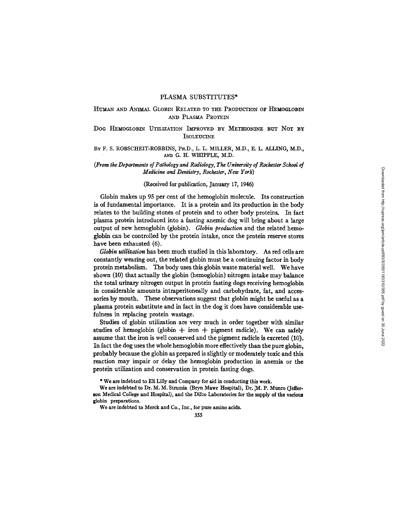# HUMAN AND ANIMAL GLOBIN RELATED TO THE PRODUCTION OF HEMOGLOBIN AND PLASMA PROTEIN

# DOG HEMOGLOBIN UTILIZATION IMPROVED BY METHIONINE BUT NOT BY **ISOLEUCINE**

# BY F. S. ROBSCHEIT-ROBBINS, PH.D., L. L. MILLER, M.D., E. L. ALLING, M.D., AND G. H. WHIPPLE, M.D.

# *(From the Departments of Pathology and Radiology, The University of Rochester Sckool of Medicine and Dentistry, Rochester, New York)*

# (Received for publication, January 17, 1946)

Globin makes up 95 per cent of the hemoglobin molecule. Its construction is of fundamental importance. It is a protein and its production in the body relates to the building stones of protein and to other body proteins. In fact plasma protein introduced into a fasting anemic dog will bring about a large output of new hemoglobin (globin). *Globin production* and the related hemoglobin can be controlled by the protein intake, once the protein reserve stores have been exhausted (6).

*Globin utilization* has been much studied in this laboratory. As red cells are constantly wearing out, the related globin must be a continuing factor in body protein metabolism. The body uses this globin waste material well. We have shown (10) that actually the globin (hemoglobin) nitrogen intake may balance the total urinary nitrogen output in protein fasting dogs receiving hemoglobin in considerable amounts intraperitoneally and carbohydrate, fat, and accessories by mouth. These observations suggest that globin might be useful as a plasma protein substitute and in fact in the dog it does have considerable usefulness in replacing protein wastage.

Studies of globin utilization are very much in order together with similar studies of hemoglobin (globin  $+$  iron  $+$  pigment radicle). We can safely assume that the iron is well conserved and the pigment radicle is excreted (10). In fact the dog uses the whole hemoglobin more effectively than the pure globin, probably because the globin as prepared is slightly or moderately toxic and this reaction may impair or delay the hemoglobin production in anemia or the protein utilization and conservation in protein fasting dogs.

\* We are indebted to Eli Lilly and Company for aid in conducting this work.

We are indebted to Merck and Co., Inc., for pure amino acids.

We are indebted to Dr. M. M. Strumia (Bryn Mawr Hospital), Dr. M. P. Munro (Jefferson Medical College and Hospital), and the Difco Laboratories for the supply of the various globin preparations.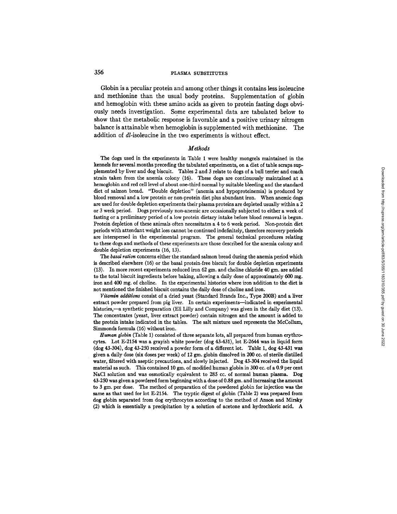Globin is a peculiar protein and among other things it contains less isoleucine and methionine than the usual body proteins. Supplementation of globin and hemoglobin with these amino acids as given to protein fasting dogs obviously needs investigation. Some experimental data are tabulated below to show that the metabolic response is favorable and a positive urinary nitrogen balance is attainable when hemoglobin is supplemented with methionine. The addition of *dl*-isoleucine in the two experiments is without effect.

#### *Methods*

The dogs used in the experiments in Table 1 were healthy mongrels maintained in the kennels for several months preceding the tabulated experiments, on a diet of table scraps supplemented by liver and dog biscuit. Tables 2 and 3 relate to dogs of a bull terrier and coach strain taken from the anemia colony (16). These dogs are continuously maintained at a hemoglobin and red cell level of about one-third normal by suitable bleeding and the standard diet of salmon bread. "Double depletion" (anemia and hypoproteinemia) is produced by blood removal and a low protein or non-protein diet plus abundant iron. When anemic dogs are used for double depletion experiments their plasma proteins are depleted usually within a 2 or 3 week period. Dogs previously non-anemic are occasionally subjected to either a week of fasting or a preliminary period of a low protein dietary intake before blood removal is begun. Protein depletion of these animals often necessitates a 4 to 6 week period. Non-protein diet periods with attendant weight loss cannot be continued indefinitely, therefore recovery periods are interspersed in the experimental program. The general technical procedures relating to these dogs and methods of these experiments are those described for the anemia colony and double depletion experiments (16, 13).

*The basal ration* concerns either the standard salmon bread during the anemia period which is described elsewhere (16) or the basal protein-free biscuit for double depletion experiments (13). In more recent experiments reduced iron 62 gin. and choline chloride 40 gin. are added to the total biscuit ingredients before baking, allowing a daily dose of approximately 600 mg. iron and 400 mg. of choline. In the experimental histories where iron addition to the diet is not mentioned the finished biscuit contains the daily dose of choline and iron.

*Vitamin additions* consist of a dried yeast (Standard Brands Inc., Type 200B) and a liver extract powder prepared Irom pig liver. In certain experiments--indicated in experimental histories,—a synthetic preparation (Eli Lilly and Company) was given in the daily diet (13). The concentrates (yeast, liver extract powder) contain nitrogen and the amount is added to the protein intake indicated in the tables. The salt mixture used represents the McCollum, Slmmonds formula (16) without iron.

*Human globin* (Table 1) consisted of three separate lots, all prepared from human erythrocytes. Lot E-2154 was a grayish white powder (dog 43-431), lot E-2644 was in liquid form (dog 43-304), dog 43-250 received a powder form of a different lot. Table 1, dog 43-431 was given a daily dose (six doses per week) of 12 gm. globin dissolved in 200 cc. of sterile distilled water, filtered with aseptic precautions, and slowly injected. Dog 43-304 received the liquid material as such. This contained 10 gm. of modified human giobin in 300 cc. of a 0,9 per cent NaC1 solution and was osmotically equivalent to 285 cc. of normal human plasma. Dog 43-250 was given a powdered form beginning with a dose of 0.88 gm. and increasing the amount to 3 gm. per dose. The method of preparation of the powdered globin for injection was the same as that used for lot E-2154. The tryptic digest of globin (Table 2) was prepared from dog globin separated from dog erythrocytes according to the method of Anson and Mirsky (2) which is essentially a precipitation by a solution of acetone and hydrochloric acid. A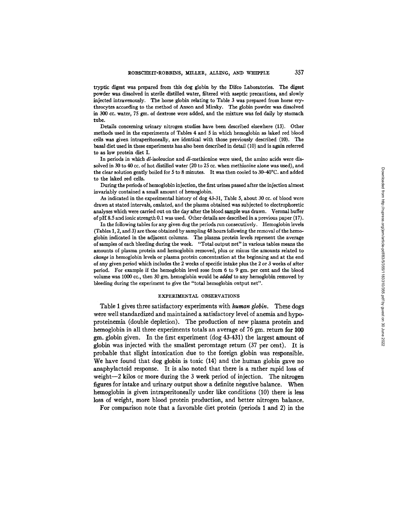trypfic digest was prepared from this dog globin by the Difco Laboratories. The digest powder was dissolved in sterile distilled water, filtered with aseptic precautions, and slowly injected intravenously. The horse globin relating to Table 3 was prepared from horse erythrocytes according to the method of Anson and Mirsky. The globin powder was dissolved in 300 cc. water, 75 gm. of dextrose were added, and the mixture was fed daily by stomach tube.

Details concerning urinary nitrogen studies have been described elsewhere (13). Other methods used in the experiments of Tables 4 and 5 in which hemoglobin as laked red blood cells was given intraperitoneally, are identical with those previously described (I0). The basal diet used in these experiments has also been described in detail (10) and is again referred to as low protein diet I.

In periods in which  $d\ell$ -isoleucine and  $d\ell$ -methionine were used, the amino acids were dissolved in 30 to 40 cc. of hot distilled water (20 to 25 cc. when methionine alone was used), and the clear solution gently boiled for 5 to 8 minutes. It was then cooled to 30-40°C. and added to the faked red cells.

During the periods of hemoglobin injection, the first urines passed after the injection almost invariably contained a small amount of hemoglobin.

As indicated in the experimental history of dog 43-31, Table 5, about 30 cc. of blood were drawn at stated intervals, oxalatcd, and the plasma obtained was subjected to electrophoretic analyses which were carried out on the day after the blood sample was drawn. Veronal buffer of pH 8.5 and ionic strength 0.1 was used. Other details are described in a previous paper (17).

In the following tables for any given dog the periods run consecutively. Hemoglobin levels (Tables I, 2, and 3) are those obtained by sampling 48 hours following the removal of the hemoglobin indicated in the adjacent columns. The plasma protein levels represent the average of samples of each bleeding during the week. "Total output net" in various tables means the amounts of plasma protein and hemoglobin removed, plus or minus the amounts related to *change* in hemoglobin levels or plasma protein concentration at the beginning and at the end of any given period which includes the 2 weeks of specific intake plus the 2 or 3 weeks of after period. For example if the hemoglobin level rose from 6 to 9 gm. per cent and the blood volume was  $1000$  cc., then  $30$  gm, hemoglobin would be *added* to any hemoglobin removed by bleeding during the experiment to give the "total hemoglobin output net".

# EXPERIMENTAL OBSERVATIONS

Table 1 gives three satisfactory experiments with *human globin.* These dogs were well standardized and maintained a satisfactory level of anemia and hypoproteinemia (double depletion). The production of new plasma protein and hemoglobin in all three experiments totals an average of 76 gm. return for 100 gin. globin given. In the first experiment (dog 43-431) the largest amount of globin was injected with the smallest percentage return (37 per cent). It is probable that slight intoxication due to the foreign globin was responsible. We have found that dog globin is toxic (14) and the human globin gave no anaphylactoid response. It is also noted that there is a rather rapid loss of weight-2 kilos or more during the 3 week period of injection. The nitrogen figures for intake and urinary output show a definite negative balance. When hemoglobin is given intraperitoneally under like conditions (10) there is less loss of weight, more blood protein production, and better nitrogen balance.

For comparison note that a favorable diet protein (periods 1 and 2) in the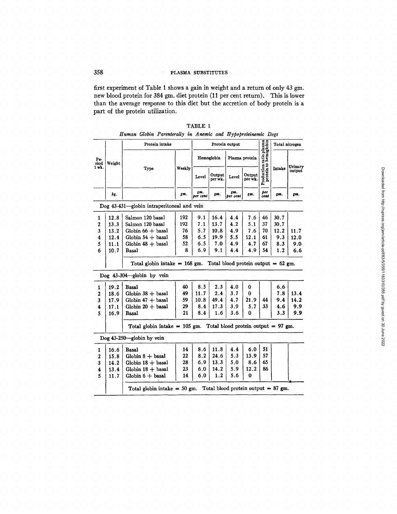first experiment of Table 1 shows a gain in weight and a return of only 43 gm. new blood protein for 384 gm. diet protein (11 per cent return). This is lower than the average response to this diet but the accretion of body protein is a part of the protein utilization.

|              |        |                                                                             | Groven I architecture in Internet and Hypoprotonication Dogs<br>Protein output |                 |                   |                 | Total nitrogen    |                                                  |        |                   |  |
|--------------|--------|-----------------------------------------------------------------------------|--------------------------------------------------------------------------------|-----------------|-------------------|-----------------|-------------------|--------------------------------------------------|--------|-------------------|--|
|              |        | Protein intake                                                              |                                                                                |                 |                   |                 |                   |                                                  |        |                   |  |
| Pe-<br>riod  | Weight | Type                                                                        |                                                                                | Hemoglobin      |                   | Plasma protein  |                   |                                                  |        |                   |  |
| $1$ wk.      |        |                                                                             | Weekly                                                                         | Level           | Output<br>per wk. | Level           | Output<br>per wk. | Production ratio plasma<br>protein to hemoglobin | Intake | Urinary<br>output |  |
|              | kg.    |                                                                             | gm.                                                                            | gm.<br>per cent | gm.               | gm.<br>per cent | Em.               | per<br>cent                                      | gm.    | gm.               |  |
|              |        | Dog 43-431---globin intraperitoneal and vein                                |                                                                                |                 |                   |                 |                   |                                                  |        |                   |  |
| 1            | 12.8   | Salmon 120 basal                                                            | 192                                                                            | 9.1             | 16.4              | 4.4             | 7.6               | 46                                               | 30.7   |                   |  |
| $\mathbf{2}$ | 13.3   | Salmon 120 basal                                                            | 192                                                                            | 7.1             | 13.7              | 4.2             | 5.1               | 37                                               | 30.7   |                   |  |
| 3            | 13.2   | Globin $66 +$ basal                                                         | 76                                                                             | 5.7             | 10.8              | 4.9             | 7.6               | 70                                               | 12.2   | 11.7              |  |
| 4            | 12.4   | Globin $54 +$ basal                                                         | 58                                                                             | 6.5             | 19.9              | 5.5             | 12.1              | 61                                               | 9.3    | 12.0              |  |
| 5            | 11.1   | Globin $48 +$ basal                                                         | 52                                                                             | 6.5             | 7.0               | 4.9             | 4.7               | 67                                               | 8.3    | 9.0               |  |
| 6            | 10.7   | Basal                                                                       | 8                                                                              | 6.9             | 9.1               | 4.4             | 4.9               | 54                                               | 1.2    | 6.6               |  |
|              |        | Total globin intake = 168 gm. Total blood protein output = $62 \text{ gm.}$ |                                                                                |                 |                   |                 |                   |                                                  |        |                   |  |
|              |        | Dog 43-304-globin by vein                                                   |                                                                                |                 |                   |                 |                   |                                                  |        |                   |  |
| 1            | 19.2   | Basal                                                                       | 40                                                                             | 8.5             | 2.3               | 4.0             | 0                 |                                                  | 6.6    |                   |  |
| $\mathbf{2}$ | 18.6   | Globin $38 +$ basal                                                         | 49                                                                             | 11.7            | 2.4               | 3.7             | 0                 |                                                  | 7.8    | 13.4              |  |
| 3            | 17.9   | Globin $47 +$ basal                                                         | 59                                                                             | 10.8            | 49.4              | 4.7             | 21.9              | 44                                               | 9.4    | 14.2              |  |
| 4            | 17.1   | Globin $20 +$ basal                                                         | 29                                                                             | 8.4             | 17.3              | 3.9             | 5.7               | 33                                               | 4.6    | 9.9               |  |
| 5            | 16.9   | Basal                                                                       | 21                                                                             | 8.4             | 1.6               | 3.6             | 0                 |                                                  | 3.3    | 9.9               |  |
|              |        | Total globin intake $= 105$ gm. Total blood protein output = 97 gm.         |                                                                                |                 |                   |                 |                   |                                                  |        |                   |  |
|              |        | Dog 43-250-globin by vein                                                   |                                                                                |                 |                   |                 |                   |                                                  |        |                   |  |
| 1            | 16.6   | Basal                                                                       | 14                                                                             | 8.6             | 11.8              | 4.4             | 6.0               | 51                                               |        |                   |  |
| 2            | 15.8   | $Globin 8 + basal$                                                          | 22                                                                             | 8.2             | 24.6              | 5.3             | 13.9              | 57                                               |        |                   |  |
| 3            | 14.2   | Globin $18 +$ basal                                                         | 28                                                                             | 6.9             | 13.3              | 5.0             | 8.6               | 65                                               |        |                   |  |
| 4            | 13.4   | Globin $18 +$ basal                                                         | 23                                                                             | 6.0             | 14.2              | 5.9             | 12.2              | 86                                               |        |                   |  |
| 5            | 11.7   | Globin 6 + basal                                                            | 14                                                                             | 6.0             | 1.2               | 5.6             | $\mathbf 0$       |                                                  |        |                   |  |
|              |        | Total globin intake = 50 gm. Total blood protein output = 87 gm.            |                                                                                |                 |                   |                 |                   |                                                  |        |                   |  |

TABLE 1 *Human Globin Parenterally in Anemic and Hypoproteinemic Dogs*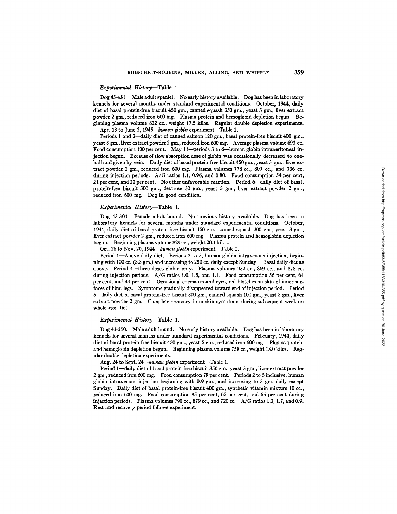#### *Experimental* H/story--Table 1.

Dog 43-431. Male adult spaniel. No early history available. Dog has been in laboratory kennels for several months under standard experimental conditions. October, 1944, daily diet of basal protein-free biscuit 450 gm., canned squash 350 gm., yeast 3 gm., liver extract powder 2 gm., reduced iron 600 mg. Plasma protein and hemoglobin depletion begun. Beginning plasma volume 822 cc., weight 17.5 kilos. Regular double depletion experiments.

Apr. 13 to June 2, 1945-*human globin* experiment-Table 1.

Periods 1 and 2-daily diet of canned salmon 120 gm., basal protein-free biscuit 400 gm., yeast 3 gm., liver extract powder 2 gm., reduced iron 600 mg. Average plasma volume 693 cc. Food consumption 100 per cent. May 11--periods 3 to 6-human globin intraperitoneal injection begun. Because of slow absorption dose of globin was occasionally decreased to onehalf and given by vein. Daily diet of basal protein-free biscuit  $450$  gm., yeast 3 gm., liver extract powder 2 gm., reduced iron 600 mg. Plasma volumes 778 cc., 809 cc., and 736 cc. during injection periods. A/G ratios 1.1, 0.96, and 0.80. Food consumption 54 per cent, 21 per cent, and 22 per cent. No other unfavorable reaction. Period 6--daily diet of basal, protein-free biscuit 300 gm., dextrose 30 gm., yeast 5 gm., liver extract powder 2 gm., reduced iron 600 mg. Dog in good condition.

#### *Experimental History*-Table 1.

Dog 43-304. Female adult hound. No previous history available. Dog has been in laboratory kennels for several months under standard experimental conditions. October, 1944, daily diet of basal protein-free biscuit 450 gm., canned squash 300 gm., yeast 3 gm., liver extract powder 2 gm., reduced iron 600 mg. Plasma protein and hemoglobin depletion begun. Beginning plasma volume 829 cc., weight 20.1 kilos.

Oct. 26 to Nov. 20, 1944-*human globin* experiment-Table 1.

Period 1—Above daily diet. Periods 2 to 5, human globin intravenous injection, beginning with 100 cc. (3.3 gm.) and increasing to 250 cc. daily except Sunday. Basal daily diet as above. Period 4--three doses globin only. Plasma volumes 952 cc., 869 cc., and 878 cc. during injection periods. *A/G* ratios 1.0, 1.5, and 1.1. Food consumption 56 per cent, 64 per cent, and 49 per cent. Occasional edema around eyes, red blotches on skin of inner surfaces of hind legs. Symptoms gradually disappeared toward end of injection period. Period 5—daily diet of basal protein-free biscuit 300 gm., canned squash 100 gm., yeast 3 gm., liver extract powder 2 gm. Complete recovery from skin symptoms during subsequent week on whole egg diet.

#### *Experimental History*-Table 1.

Dog 43-250. Male adult hound. No early history available. Dog has been in laboratory kennels for several months under standard experimental conditions. February, 1944, daily diet of basal protein-free biscuit 450 gm., yeast 5 gm., reduced iron 600 mg. Plasma protein and hemoglobin depletion begun. Beginning plasma volume 758 cc., weight 18.0 kilos. Regular double depletion experiments.

Aug. 24 to Sept. 24-*human globin* experiment-Table 1.

Period 1-daily diet of basal protein-free biscuit 350 gm., yeast 3 gm., liver extract powder 2 gm., reduced iron 600 mg. Food consumption 79 per cent. Periods 2 to 5 inclusive, human globin intravenous injection beginning with 0.9 gm., and increasing to 3 gm. daily except Sunday. Daily diet of basal protein-free biscuit 400 gm., synthetic vitamin mixture 10 cc., reduced iron 600 mg. Food consumption 85 per cent, 65 per cent, and 55 per cent during injection periods. Plasma volumes 790 cc., 879 cc., and 720 co. *A/G* ratios 1.3, 1.7, and 0.9. Rest and recovery period follows experiment.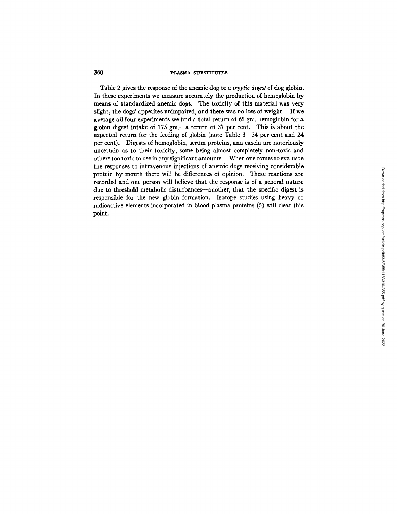Table 2 gives the response of the anemic dog to a *tryptic digest* of dog globin. In these experiments we measure accurately the production of hemoglobin by means of standardized anemic dogs. The toxicity of this material was very slight, the dogs' appetites unimpaired, and there was no loss of weight. If we average all four experiments we find a total return of 65 gm. hemoglobin for a globin digest intake of  $175$  gm.—a return of  $37$  per cent. This is about the expected return for the feeding of globin (note Table 3--34 per cent and 24 per cent). Digests of hemoglobin, serum proteins, and casein are notoriously uncertain as to their toxicity, some being almost completely non-toxic and others too toxic to use in any significant amounts. When one comes to evaluate the responses to intravenous injections of anemic dogs receiving considerable protein by mouth there will be differences of opinion. These reactions are recorded and one person will believe that the response is of a general nature due to threshold metabolic disturbances--another, that the specific digest is responsible for the new globin formation. Isotope studies using heavy or radioactive elements incorporated in blood plasma proteins (5) will clear this point.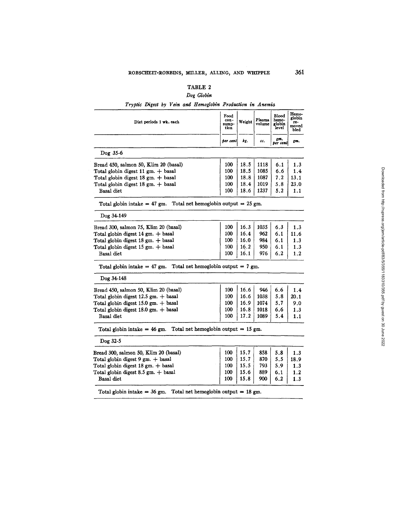# TABLE 2

# *Dog Globin*

*Tryptic Digest by Vein and Hemoglobin Production in Anemia* 

| Diet periods 1 wk. each                                                          | Food<br>con-<br>sump-<br>tion | Weight | Plasma<br>volume | <b>Blood</b><br>hemo-<br>globin<br>level | Hemo-<br>globin<br>re-<br>moved<br>bled |
|----------------------------------------------------------------------------------|-------------------------------|--------|------------------|------------------------------------------|-----------------------------------------|
|                                                                                  | per cent                      | kg.    | cc.              | gm.<br>per cent                          | gm.                                     |
| Dog 35-6                                                                         |                               |        |                  |                                          |                                         |
| Bread 450, salmon 50, Klim 20 (basal)                                            | 100                           | 18.5   | 1118             | 6.1                                      | 1.3                                     |
| Total globin digest 11 gm. + basal                                               | 100                           | 18.5   | 1085             | 6.6                                      | 1.4                                     |
| Total globin digest $18 \text{ gm.} + \text{basal}$                              | 100                           | 18.8   | 1087             | 7.2                                      | 13.1                                    |
| Total globin digest $18 \text{ gm.} + \text{basal}$                              | 100                           | 18.4   | 1019             | 5.8                                      | 23.0                                    |
| Basal diet                                                                       | 100                           | 18.6   | 1237             | 5.2                                      | 1.1                                     |
| Total net hemoglobin output = $25$ gm.<br>Total globin intake $= 47$ gm.         |                               |        |                  |                                          |                                         |
| Dog 34-149                                                                       |                               |        |                  |                                          |                                         |
| Bread 300, salmon 75, Klim 20 (basal)                                            | 100                           | 16.3   | 1035             | 6.3                                      | 1.3                                     |
| Total globin digest 14 gm. + basal                                               | 100                           | 16.4   | 962              | 6.1                                      | 11.6                                    |
| Total globin digest 18 gm. + basal                                               | 100                           | 16.0   | 984              | 6.1                                      | 1.3                                     |
| Total globin digest $15 \text{ gm.} + \text{basal}$                              | 100                           | 16.2   | 950              | 6.1                                      | 1.3                                     |
| Basal diet                                                                       | 100                           | 16.1   | 976              | 6.2                                      | 1.2                                     |
| Total net hemoglobin output = $7 \text{ gm}$ .<br>Total globin intake $= 47$ gm. |                               |        |                  |                                          |                                         |
| Dog 34-148                                                                       |                               |        |                  |                                          |                                         |
| Bread 450, salmon 50, Klim 20 (basal)                                            | 100                           | 16.6   | 946              | 6.6                                      | 1.4                                     |
| Total globin digest $12.5$ gm. $+$ basal                                         | 100                           | 16.6   | 1038             | 5.8                                      | 20.1                                    |
| Total globin digest $15.0$ gm. $+$ basal                                         | 100                           | 16.9   | 1074             | 5.7                                      | 9.0                                     |
| Total globin digest $18.0$ gm. $+$ basal                                         | 100                           | 16.8   | 1018             | 6.6                                      | 1.3                                     |
| Basal diet                                                                       | 100                           | 17.2   | 1089             | 5.4                                      | 1.1                                     |
| Total globin intake = $46$ gm. Total net hemoglobin output = $15$ gm.            |                               |        |                  |                                          |                                         |
| $Doq$ 32-5                                                                       |                               |        |                  |                                          |                                         |
| Bread 300, salmon 50, Klim 20 (basal)                                            | 100                           | 15.7   | 858              | 5.8                                      | 1.3                                     |
| Total globin digest 9 gm. + basal                                                | 100                           | 15.7   | 870              | 5.5                                      | 18.9                                    |
| Total globin digest 18 gm. + basal                                               | 100                           | 15.5   | 793              | 5.9                                      | 1.3                                     |
| Total globin digest 8.5 gm. + basal                                              | 100                           | 15.6   | 889              | 6.1                                      | 1.2                                     |
|                                                                                  |                               | 15.8   |                  |                                          |                                         |

Total globin intake = 36 gm. Total net hemoglobin output = 18 gm.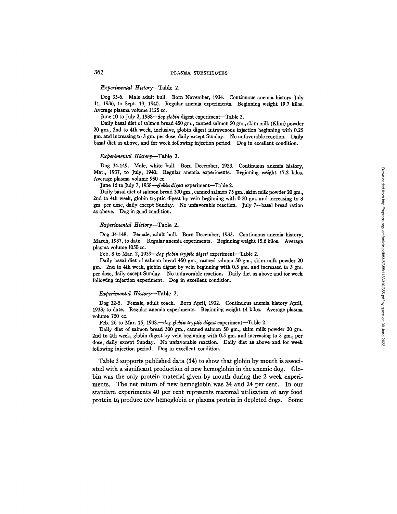## *Experimental History*-Table 2.

Dog 35-6. Male adult bull. Born November, 1934. Continuous anemia history July 11, 1936, to Sept. 19, 1940. Regular anemia experiments. Beginning weight 19.7 kilos. Average plasma volume 1125 cc.

June 10 to July 2, 1938-*dog globin* digest experiment-Table 2.

Daily basal diet of salmon bread 450 gm., canned salmon 50 gm., skim milk (Klim) powder 20 gin., 2nd to 4th week, inclusive, globin digest intravenous injection beginning with 0.25 gin. and increasing to 3 gm. per dose, daily except Sunday. No unfavorable reaction. Daily basal diet as above, and for week following injection period. Dog in excellent condition.

#### *Experimental History*-Table 2.

Dog 34-149. Male, white bull. Born December, 1933. Continuous anemia history, Mar., 1937, to July, 1940. Regular anemia experiments. Beginning weight 17.2 kilos. Average plasma volume 950 cc.

June 16 to July 7, *1938--globin digest* experiment--Table 2.

Daily basal diet of salmon bread 300 gm., canned salmon 75 gm., skim milk powder 20 gm., 2nd to 4th week, globin tryptic digest by vein beginning with 0.50 gm, and increasing to 3 gm. per dose, daily except Sunday. No unfavorable reaction. July 7-basal bread ration as above. Dog in good condition.

# *Experimental History*-Table 2.

Dog 34-148. Female, adult bull. Born December, 1933. Continuous anemia history, March, 1937, to date. Regular anemia experiments. Beginning weight 15.6 kilos. Average plasma volume 1050 cc.

Feb. 8 to Mar. 2, 1939—dog globin tryptic digest experiment-Table 2.

Daily basal diet of salmon bread 450 gm., canned salmon 50 gm., skim milk powder 20 gm. 2nd to 4th week, globin digest by vein beginning with 0.5 gm. and increased to 3 gm. per dose, daily except Sunday. No unfavorable reaction. Daily diet as above and for week following injection experiment. Dog in excellent condition.

# *Experimental History*-Table 2.

Dog 32-5. Female, adult coach. Born April, 1932. Continuous anemia history April, 1933, to date. Regular anemia experiments. Beginning weight 14 kilos. Average plasma volume 750 cc.

Feb. 26 to Mar. 15, 1938.—dog globin tryptic digest experiment-Table 2.

Daily diet of salmon bread 300 gm., canned salmon 50 gm., skim milk powder 20 gm. 2nd to 4th week, globin digest by vein beginning with 0.5 gm. and increasing to 3 gm., per dose, daily except Sunday. No unfavorable reaction. Daily diet as above and for week following injection period. Dog in excellent condition.

Table 3 supports published data (14) to show that globin by mouth is associated with a significant production of new hemoglobin in the anemic dog. Globin was the only protein material given by mouth during the 2 week experiments. The net return of new hemoglobin was 34 and 24 per cent. In our standard experiments 40 per cent represents maximal utilization of any food protein tq produce new hemoglobin or plasma protein in depleted dogs. Some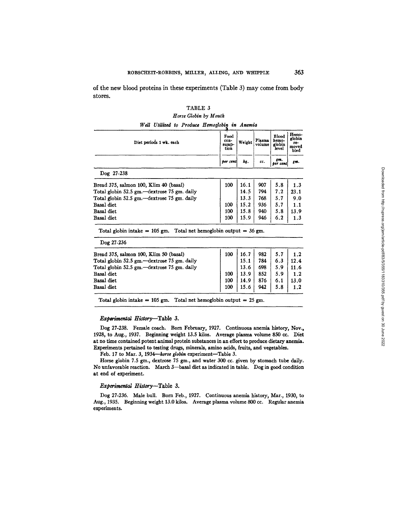of the new blood proteins in these experiments (Table 3) may come from body stores.

# TABLE 3 *Horse Globin by Mouth*

*Well Utilized to Produce Hemoglobin in Anemia* 

| Diet periods 1 wk. each | Food<br>con-<br>sump-<br>tion | Weight | Plasma<br>volume | Blood<br>hemo-<br>globin<br>level | Hemo-<br>globin<br>1e-<br>moved<br>bled |
|-------------------------|-------------------------------|--------|------------------|-----------------------------------|-----------------------------------------|
|                         | per cent                      | kg.    | cc.              | gm.<br>  per cent                 | gm.                                     |
| Dog 27-238              |                               |        |                  |                                   |                                         |

| Bread 375, salmon 100, Klim 40 (basal)        | 100 | 16.1 | 907 | 5.8 | 1.3  |
|-----------------------------------------------|-----|------|-----|-----|------|
| Total globin 52.5 gm. - dextrose 75 gm. daily |     | 14.5 | 794 | 7.2 | 23.1 |
| Total globin 52.5 gm.—dextrose 75 gm. daily   |     | 13.3 | 768 | 5.7 | 9.0  |
| Basal diet                                    | 100 | 15.2 | 936 | 5.7 | 1.1  |
| Basal diet                                    | 100 | 15.8 | 940 | 5.8 | 13.9 |
| Basal diet                                    | 100 | 15.9 | 946 | 6.2 | 1.3  |
|                                               |     |      |     |     |      |

Total globin intake = 105 gm. Total net hemoglobin output = 36 gm.

| 100 | 16.7 | 982 | 5.7 | 1.2  |
|-----|------|-----|-----|------|
|     | 15.1 | 784 | 6.3 | 12.4 |
|     | 13.6 | 698 | 5.9 | 11.6 |
| 100 | 13.9 | 852 | 5.9 | 1.2  |
| 100 | 14.9 | 876 | 6.1 | 13.0 |
| 100 | 15.6 | 942 | 5.8 | 1.2  |
|     |      |     |     |      |

Total globin intake = 105 gm. Total net hemoglobin output = 25 gm.

# *Experimental History*-Table 3.

Dog 27-238. Female coach. Born February, 1927. Continuous anemia history, Nov., 1928, to Aug., 1937. Beginning weight 13.5 kilos. Average plasma volume 850 cc. Diet at no time contained potent animal protein substances in an effort to produce dietary anemia. Experiments pertained to testing drugs, minerals, amino acids, fruits, and vegetables.

Feb. 17 to Mar. 3, 1934-*horse globin* experiment-Table 3.

Horse globin 7.5 gm., dextrose 75 gm., and water 300 cc. given by stomach tube daily. No unfavorable reaction. March 3--basal diet as indicated in table. Dog in good condition at end of experiment.

# *Experimental History*-Table 3.

Dog 27-236. Male bull. Born Feb., 1927. Continuous anemia history, Mar., 1930, to Aug., 1935. Beginning weight 13.0 kilos. Average plasma volume 800 cc. Regular anemia experiments.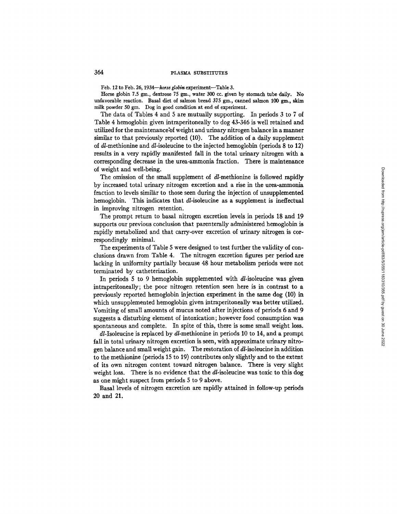Feb. 12 to Feb. 26, 1934-horse globin experiment-Table 3.

Horse globin 7.5 gm., dextrose 75 gm., water 300 cc. given by stomach tube daily. No unfavorable reaction. Basal diet of salmon bread 375 gm., canned salmon 100 gm., skim milk powder 50 gm. Dog in good condition at end of experiment.

The data of Tables 4 and 5 are mutually supporting. In periods 3 to 7 of Table 4 hemoglobin given intraperitoneally to dog 43-346 is well retained and utilized for the maintenance of weight and urinary nitrogen balance in a manner similar to that previously reported (10). The addition of a daily supplement of d/-methionine and d/-isoleucine to the injected hemoglobin (periods 8 to 12) results in a very rapidly manifested fall in the total urinary nitrogen with a corresponding decrease in the urea-ammonia fraction. There is maintenance of weight and well-being.

The omission of the small supplement of  $d$ -methionine is followed rapidly by increased total urinary nitrogen excretion and a rise in the urea-ammonia fraction to levels similar to those seen during the injection of unsupplemented hemoglobin. This indicates that  $dl$ -isoleucine as a supplement is ineffectual in improving nitrogen retention.

The prompt return to basal nitrogen excretion levels in periods 18 and 19 supports our previous conclusion that parenterally administered hemoglobin is rapidly metabolized and that carry-over excretion of urinary nitrogen is correspondingly minimal.

The experiments of Table 5 were designed to test further the validity of conclusions drawn from Table 4. The nitrogen excretion figures per period are lacking in uniformity partially because 48 hour metabolism periods were not terminated by catheterization.

In periods 5 to 9 hemoglobin supplemented with  $dl$ -isoleucine was given intraperitoneally; the poor nitrogen retention seen here is in contrast to a previously reported hemoglobin injection experiment in the same dog  $(10)$  in which unsupplemented hemoglobin given intraperitoneally was better utilized. Vomiting of small amounts of mucus noted after injections of periods 6 and 9 suggests a disturbing element of intoxication; however food consumption was spontaneous and complete. In spite of this, there is some small weight loss.

 $dl$ -Isoleucine is replaced by  $dl$ -methionine in periods 10 to 14, and a prompt fall in total urinary nitrogen excretion is seen, with approximate urinary nitrogen balance and small weight gain. The restoration of d/-isoleucine in addition to the methionine (periods 15 to 19) contributes only slightly and to the extent of its own nitrogen content toward nitrogen balance. There is very slight weight loss. There is no evidence that the  $dl$ -isoleucine was toxic to this dog as one might suspect from periods 5 to 9 above.

Basal levels of nitrogen excretion are rapidly attained in follow-up periods 20 and 21.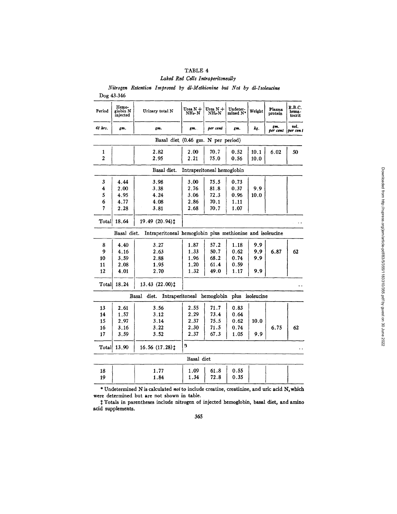| TABLE 4 |  |  |                                   |  |  |  |  |  |  |
|---------|--|--|-----------------------------------|--|--|--|--|--|--|
|         |  |  | Laked Red Cells Intraperitoneally |  |  |  |  |  |  |

*Nitrogen Retention Improved by dl-Methionine but Not by dl-Isoleueine* 

| Dog 43-346     |                               |                                                           |                          |                            |                      |            |                   |                           |
|----------------|-------------------------------|-----------------------------------------------------------|--------------------------|----------------------------|----------------------|------------|-------------------|---------------------------|
| Period         | Hemo-<br>globin N<br>injected | Urinary total N                                           | Urea $N + N$<br>$NH_3 N$ | Urea $N +$<br>$NH_4 N$     | Undeter-<br>mined N* | Weight     | Plasma<br>protein | R.B.C.<br>hema-<br>tocrit |
| 48 hrs.        | gm.                           | gm.                                                       | gm.                      | per cent                   | gm.                  | kg.        | gm,<br>ber cent   | vol.<br>per cent          |
|                |                               | Basal diet (0.46 gm. N per period)                        |                          |                            |                      |            |                   |                           |
| 1              |                               | 2.82                                                      | 2.00                     | 70.7                       | 0.52                 | 10.1       | 6.02              | 50                        |
| $\overline{2}$ |                               | 2.95                                                      | 2.21                     | 75.0                       | 0.56                 | 10.0       |                   |                           |
|                |                               | Basal diet.                                               |                          | Intraperitoneal hemoglobin |                      |            |                   |                           |
| 3              | 4.44                          | 3.98                                                      | 3.00                     | 75.5                       | 0.73                 |            |                   |                           |
| 4              | 2.00                          | 3.38                                                      | 2.76                     | 81.8                       | 0.37                 | 9.9        |                   |                           |
| 5              | 4.95                          | 4.24                                                      | 3.06                     | 72.3                       | 0.96                 | 10.0       |                   |                           |
| 6              | 4.77                          | 4.08                                                      | 2.86                     | 70.1                       | 1.11                 |            |                   |                           |
| 7              | 2.28                          | 3.81                                                      | 2.68                     | 70.7                       | 1.07                 |            |                   |                           |
| Total          | 18.64                         | 19.49 (20.94) <sup>1</sup>                                |                          |                            |                      |            |                   |                           |
|                | Basal diet.                   | Intraperitoneal hemoglobin plus methionine and isoleucine |                          |                            |                      |            |                   |                           |
| 8              | 4.40                          | 3.27                                                      | 1.87                     | 57.2                       | 1.18                 | 9.9        |                   |                           |
| 9              | 4.16                          | 2.63                                                      | 1.33                     | 50.7                       | 0.62                 | 9.9        | 6.87              | 62                        |
| 10             | 3.59                          | 2.88                                                      | 1.96                     | 68.2                       | 0.74                 | 9.9        |                   |                           |
| 11             | 2.08                          | 1.95                                                      | 1.20                     | 61.4                       | 0.59                 |            |                   |                           |
| 12             | 4.01                          | 2.70                                                      | 1.32                     | 49.0                       | 1.17                 | 9.9        |                   |                           |
| Total          | 18.24                         | 13.43 (22.00)‡                                            |                          |                            |                      |            |                   |                           |
|                |                               | Basal<br>diet.                                            |                          | Intraperitoneal hemoglobin | plus                 | isoleucine |                   |                           |
| 13             | 2.61                          | 3.56                                                      | 2.55                     | 71.7                       | 0.83                 |            |                   |                           |
| 14             | 1.57                          | 3.12                                                      | 2.29                     | 73.4                       | 0.64                 |            |                   |                           |
| 15             | 2.97                          | 3.14                                                      | 2.37                     | 75.5                       | 0.62                 | 10.0       |                   |                           |
| 16             | 3.16                          | 3.22                                                      | 2.30                     | 71.5                       | 0.74                 |            | 6.75              | 62                        |
| 17             | 3.59                          | 3.52                                                      | 2.37                     | 67.3                       | 1.05                 | 9.9        |                   |                           |
| Total          | 13.90                         | 16.56(17.28)                                              | 9                        |                            |                      |            |                   |                           |
|                |                               |                                                           | Basal diet               |                            |                      |            |                   |                           |
| 18             |                               | 1.77                                                      | 1.09                     | 61.8                       | 0.55                 |            |                   |                           |
| 19             |                               | 1.84                                                      | 1.34                     | 72.8                       | 0.35                 |            |                   |                           |

\* Undetermined N is calculated *not* to include creatine, creatinine, and uric acid N, which were determined but are not shown in table.

 $\ddagger$  Totals in parentheses include nitrogen of injected hemoglobin, basal diet, and amino acid supplements.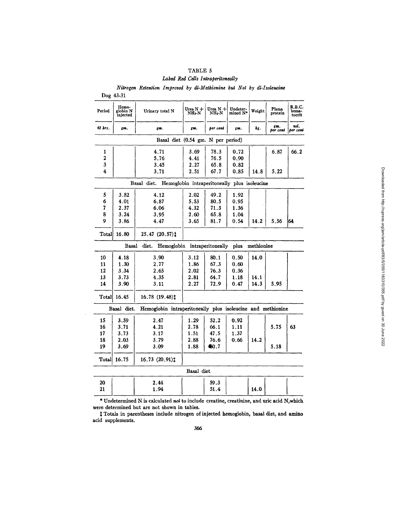# TABLE 5 *Laked Red Cells Intraperitoneally*

*Nitrogen Retention Improved by dl-Methionine but Not by dl-Isoleu~ine* 

| Period  | Hemo-<br>globin N<br>injected | Urinary total N                                             | Urea N +<br>NHs-N                            | Urea $N + N$      | Undeter-<br>mined N* | Weight     | Plsma<br>protein | R.B.C.<br>hema-<br>tocrit |
|---------|-------------------------------|-------------------------------------------------------------|----------------------------------------------|-------------------|----------------------|------------|------------------|---------------------------|
| 48 hrs. | gm.                           | gm.                                                         | gm.                                          | per cent          | gm.                  | kg.        | gm.<br>per cent  | voi.<br>per cent          |
|         |                               |                                                             | Basal diet (0.54 gm. N per period)           |                   |                      |            |                  |                           |
| 1       |                               | 4.71                                                        | 3.69                                         | 78.3              | 0.72                 |            | 6.87             | 66.2                      |
| 2       |                               | 5.76                                                        | 4.41                                         | 76.5              | 0.90                 |            |                  |                           |
| 3       |                               | 3.45                                                        | 2.27                                         | 65.8              | 0.82                 |            |                  |                           |
| 4       |                               | 3.71                                                        | 2.51                                         | 67.7              | 0.85                 | 14.8       | 5.22             |                           |
|         |                               | Basal diet.                                                 | Hemoglobin intraperitoneally plus isoleucine |                   |                      |            |                  |                           |
| 5       | 3.82                          | 4.12                                                        | 2.02                                         | 49.2              | 1.92                 |            |                  |                           |
| 6       | 4.01                          | 6.87                                                        | 5.53                                         | 80.5              | 0.95                 |            |                  |                           |
| 7       | 2.37                          | 6.06                                                        | 4.32                                         | 71.3              | 1.36                 |            |                  |                           |
| 8       | 3.24                          | 3.95                                                        | 2.60                                         | 65.8              | 1.04                 |            |                  |                           |
| 9       | 3.86                          | 4.47                                                        | 3.65                                         | 81.7              | 0.54                 | 14.2       | 5.56             | 64                        |
| Total   | 16.80                         | 25.47 (20.57) $\ddagger$                                    |                                              |                   |                      |            |                  |                           |
|         | Basal                         | diet.<br>Hemoglobin                                         |                                              | intraperitoneally | plus                 | methionine |                  |                           |
| 10      | 4.18                          | 3.90                                                        | 3.12                                         | 80.1              | 0.50                 | 14.0       |                  |                           |
| 11      | 1.30                          | 2.77                                                        | 1.86                                         | 67.3              | 0.60                 |            |                  |                           |
| 12      | 3.34                          | 2.65                                                        | 2.02                                         | 76.3              | 0.36                 |            |                  |                           |
| 13      | 3.73                          | 4.35                                                        | 2.81                                         | 64.7              | 1.18                 | 14.1       |                  |                           |
| 14      | 3.90                          | 3.11                                                        | 2.27                                         | 72.9              | 0.47                 | 14.3       | 5.95             |                           |
| Total   | 16.45                         | 16.78 (19.48)‡                                              |                                              |                   |                      |            |                  |                           |
|         | Basal diet.                   | Hemoglobin intraperitoneally plus isoleucine and methionine |                                              |                   |                      |            |                  |                           |
| 15      | 3.59                          | 2.47                                                        | 1.29                                         | 52.2              | 0.92                 |            |                  |                           |
| 16      | 3.71                          | 4.21                                                        | 2.78                                         | 66.1              | 1.11                 |            | 5.75             | 63                        |
| 17      | 3.73                          | 3.17                                                        | 1.51                                         | 47.5              | 1.37                 |            |                  |                           |
| 18      | 2.03                          | 3.79                                                        | 2.88                                         | 76.6              | 0.66                 | 14.2       |                  |                           |
| 19      | 3.69                          | 3.09                                                        | 1.88                                         | 660.7             |                      |            | 5.18             |                           |
| Total   | 16.75                         | 16.73 (20.91) <sup>†</sup>                                  |                                              |                   |                      |            |                  |                           |
|         |                               |                                                             | Basal diet                                   |                   |                      |            |                  |                           |
| 20      |                               | 2.44                                                        |                                              | 59.3              |                      |            |                  |                           |
| 21      |                               | 1.94                                                        |                                              | 51.4              |                      | 14.0       |                  |                           |

\* Undetermined N is calculated *not* to include creatine, creatinine, and uric acid N,which were determined but are not shown in tables.

Totals in parentheses include nitrogen of injected hemoglobin, basal diet, and amino acid supplements.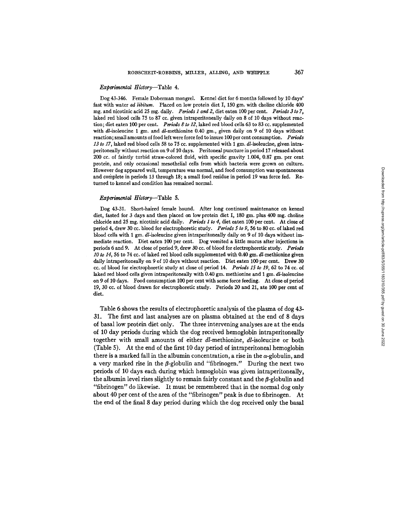#### *Experimental History*-Table 4.

Dog 43-346. Female Doberman mongrel. Kennel diet for 6 months followed by 10 days' fast with water *ad libitum*. Placed on low protein diet I, 150 gm. with choline chloride 400 mg. and nicotinic acid 25 rag. daily. *Periods I and 2,* diet eaten i00 per cent. *Periods 3 to 7,*  laked red blood cells 75 to 87 cc. given intraperitoneally daily on 8 of 10 days without reaction; diet eaten 100 per cent. *Periods 8 to 12,* laked red blood cells 63 to 83 cc. supplemented with dl-isoleucine 1 gm. and dl-methionine 0.40 gm., given daily on 9 of 10 days without reaction; small amounts of food left were force fed to insure 100 per cent cousumption. *Periods*  13 to 17, laked red blood cells 58 to 75 cc. supplemented with 1 gm. *dl*-isoleucine, given intraperitoneally without reaction on 9 of 10 days. Peritoneal puncture in period 17 released about 200 cc. of faintly turbid straw-colored fluid, with specific gravity 1.004, 0.87 gm. per cent protein, and only occasional mesothelial cells from which bacteria were grown on culture. However dog appeared well, temperature was normal, and food consumption was spontaneous and cmhplete in periods 13 through 18; a small food residue in period 19 was force fed. Returned to kennel and condition has remained normal.

# *Experimental* H/story--Table 5.

Dog 43-31. Short-haired female hound. After long continued maintenance on kennel diet, fasted for 3 days and then placed on low protein diet I, 180 gm. plus 400 mg. choline chloride and 25 mg. nicotinic acid daily. *Periods I to 4,* diet eaten I00 per cent. At close of period 4, drew 30 cc. blood for electroplioretic study. *Periods 5 to 9,* 56 to 80 cc. of laked red blood cells with 1 gm. d/-lsoleucine given intraperitoneally daily on 9 of 10 days without immediate reaction. Diet eaten 100 per cent. Dog vomited a little mucus after injections in periods 6 and 9. At close of period 9, drew 30 cc. of blood for electrophorefic study. *Periods*  10 to 14, 56 to 74 cc. of laked red blood cells supplemented with 0.40 gm. dl-methionine given daily intraperitoneally on 9 of 10 days without reaction. Diet eaten 100 per cent. Drew 30 cc. of blood for electrophoretic study at close of period 14. *Periods 15 to 19,* 62 to 74 cc. of laked red blood cells given intraperitoneally with 0.40 gm. methionine and 1 gm.  $dl$ -isoleucine on 9 of 10 days. Food consumption 100 per cent with some force feeding. At close of period 19, 30 cc. of blood drawn for electrophoretic study. Periods 20 and 21, ate 100 per cent of diet.

Table 6 shows the results of electrophoretic analysis of the plasma of dog 43- 31. The first and last analyses are on plasma obtained at the end of 8 days of basal low protein diet only. The three intervening analyses are at the ends of 10 day periods during which the dog received hemoglobin intraperitoneally together with small amounts of either d/-methionine, d/-isoleucine or both (Table 5). At the end of the first 10 day period of intraperitoneal hemoglobin there is a marked fall in the albumin concentration, a rise in the  $\alpha$ -globulin, and a very marked rise in the  $\beta$ -globulin and "fibrinogen." During the next two periods of 10 days each during which hemoglobin was given intraperitoneally, the albumin level rises slightly to remain fairly constant and the  $\beta$ -globulin and "fibrinogen" do likewise. It must be remembered that in the normal dog only about 40 per cent of the area of the "fibrinogen" peak is due to fibrinogen. At the end of the final 8 day period during which the dog received only the basal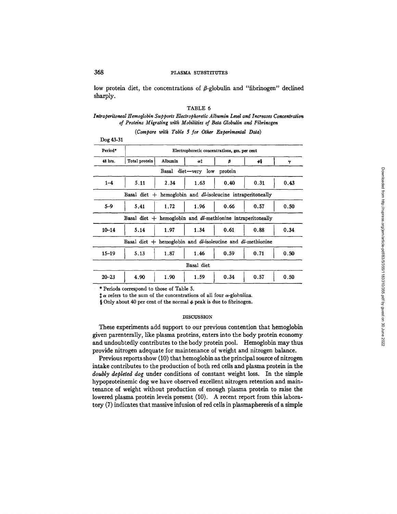low protein diet, the concentrations of  $\beta$ -globulin and "fibrinogen" declined sharply.

# TABLE 6

# *Intraperitoncal Hemoglobin Supports F\_2eetropkoretic Albumin Level and Increases Concentration of Proteins Migrating with Mobilities of Beta Globulin and Fibrinogen*

| Dog 43-31 |                                                                     |         |                     |         |      |      |  |  |  |  |
|-----------|---------------------------------------------------------------------|---------|---------------------|---------|------|------|--|--|--|--|
| Period*   | Electrophoretic concentrations, gm. per cent                        |         |                     |         |      |      |  |  |  |  |
| 48 hrs.   | Total protein                                                       | Albumin | α‡                  | β       | φŞ   | γ    |  |  |  |  |
|           |                                                                     |         | Basal diet-very low | protein |      |      |  |  |  |  |
| $1 - 4$   | 5.11                                                                | 2.34    | 1.63                | 0.40    | 0.31 | 0.43 |  |  |  |  |
|           | Basal diet $+$ hemoglobin and dl-isoleucine intraperitoneally       |         |                     |         |      |      |  |  |  |  |
| $5 - 9$   | 5.41                                                                | 1.72    | 1.96                | 0.66    | 0.57 | 0.50 |  |  |  |  |
|           | Basal diet $+$ hemoglobin and $dl$ -methionine intraperitoneally    |         |                     |         |      |      |  |  |  |  |
| $10 - 14$ | 5.14                                                                | 1.97    | 1.34                | 0.61    | 0.88 | 0.34 |  |  |  |  |
|           | Basal diet $+$ hemoglobin and $dl$ -isoleucine and $dl$ -methionine |         |                     |         |      |      |  |  |  |  |
| $15 - 19$ | 5, 13                                                               | 1.87    | 1.46                | 0.59    | 0.71 | 0.50 |  |  |  |  |
|           |                                                                     |         | Basal diet          |         |      |      |  |  |  |  |
| $20 - 23$ | 4.90                                                                | 1.90    | 1.59                | 0.34    | 0.57 | 0.50 |  |  |  |  |

*(Compare with Table 5 for Other Experimental Data)* 

\* Periods correspond to those of Table 5.

 $\downarrow \alpha$  refers to the sum of the concentrations of all four  $\alpha$ -globulins.

§ Only about 40 per cent of the normal  $\phi$  peak is due to fibrinogen.

#### DISCUSSION

These experiments add support to our previous contention that hemoglobin given parenterally, like plasma proteins, enters into the body protein economy and undoubtedly contributes to the body protein pool. Hemoglobin may thus provide nitrogen adequate for maintenance of weight and nitrogen balance.

Previous reports show (10) that hemoglobin as the principal source of nitrogen intake contributes to the production of both red cells and plasma protein in the *doubly depleted dog* under conditions of constant weight loss. In the simple hypoproteinemlc dog we have observed excellent nitrogen retention and maintenance of weight without production of enough plasma protein to raise the lowered plasma protein levels present (10). A recent report from this laboratory (7) indicates that massive infusion of red cells in plasmapheresis of a simple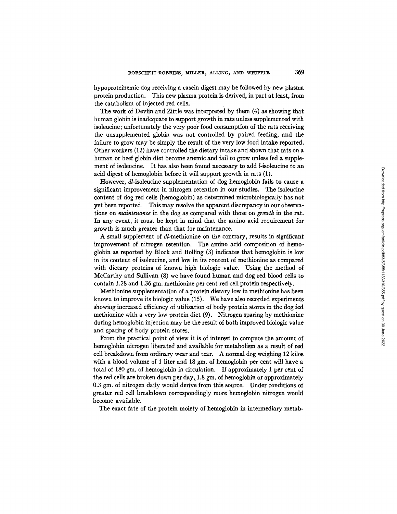hypoproteinemic dog receiving a casein digest may be followed by new plasma protein production. This new plasma protein is derived, in part at least, from the catabolism of injected red cells.

The work of Devlin and Zittle was interpreted by them (4) as showing that human globin is inadequate to support growth in rats unless supplemented with isoleucine; unfortunately the very poor food consumption of the rats receiving the unsupplemented globin was not controlled by paired feeding, and the failure to grow may be simply the result of the very low food intake reported. Other workers (12) have controlled the dietary intake and shown that rats on a human or beef globin diet become anemic and fail to grow unless fed a supplement of isoleucine. It has also been found necessary to add *l*-isoleucine to an acid digest of hemoglobin before it will support growth in rats (1).

However, dl-isoleucine supplementation of dog hemoglobin fails to cause a significant improvement in nitrogen retention in our studies. The isoleucine content of dog red cells (hemoglobin) as determined microbiologically has not yet been reported. This may resolve the apparent discrepancy in our observations on *maintenance in the* dog as compared with those on *growth* in the rat. In any event, it must be kept in mind that the amino acid requirement for growth is much greater than that for maintenance.

A small supplement of d/-methionine on the contrary, results in significant improvement of nitrogen retention. The amino acid composition of hemoglobin as reported by Block and Bolling  $(3)$  indicates that hemoglobin is low in its content of isoleucine, and low in its content of methionine as compared with dietary proteins of known high biologic value. Using the method of McCarthy and Sullivan (8) we have found human and dog red blood cells to contain 1.28 and 1.36 gm. methionine per cent red cell protein respectively.

Methionine supplementation of a protein dietary low in methionine has been known to improve its biologic value (15). We have also recorded experiments showing increased efficiency of utilization of body protein stores in the dog fed methionine with a very low protein diet (9). Nitrogen sparing by methionine during hemoglobin injection may be the result of both improved biologic value and sparing of body protein stores.

From the practical point of view it is of interest to compute the amount of hemoglobin nitrogen liberated and available for metabolism as a result of red cell breakdown from ordinary wear and tear. A normal dog weighing 12 kilos with a blood volume of 1 liter and 18 gm. of hemoglobin per cent will have a total of 180 gm. of hemoglobin in circulation. If approximately 1 per cent of the red cells are broken down per day, 1.8 gm. of hemoglobin or approximately 0.3 gm. of nitrogen daily would derive from this source. Under conditions of greater red cell breakdown correspondingly more hemoglobin nitrogen would become available.

The exact fate of the protein moiety of hemoglobin in intermediary metab-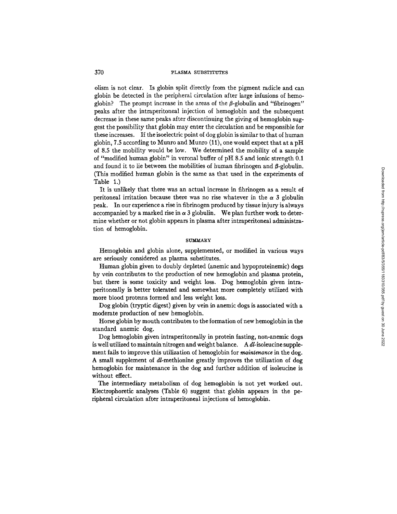olism is not clear. Is globin split directly from the pigment radicle and can globin be detected in the peripheral circulation after large infusions of hemoglobin? The prompt increase in the areas of the  $\beta$ -globulin and "fibrinogen" peaks after the intraperitoneal injection of hemoglobin and the subsequent decrease in these same peaks after discontinuing the giving of hemoglobin suggest the possibility that globin may enter the circulation and be responsible for these increases. If the isoelectric point of dog globin is similar to that of human globin, 7.5 according to Munro and Munro (11), one would expect that at a pH of 8.5 the mobility would be low. We determined the mobility of a sample of "modified human globin" in veronal buffer of pH 8.5 and ionic strength 0.1 and found it to lie between the mobilities of human fibrinogen and  $\beta$ -globulin. (This modified human globin is the same as that used in the experiments of Table 1.)

It is unlikely that there was an actual increase in fibrinogen as a result of peritoneal irritation because there was no rise whatever in the  $\alpha$  3 globulin peak. In our experience a rise in fibrinogen produced by tissue injury is always accompanied by a marked rise in  $\alpha$  3 globulin. We plan further work to determine whether or not globin appears in plasma after intraperitoneal administration of hemoglobin.

# **SITMMARY**

Hemoglobin and globin alone, supplemented, or modified in various ways are seriously considered as plasma substitutes.

Human globin given to doubly depleted (anemic and hypoproteinemic) dogs by vein contributes to the production of new hemoglobin and plasma protein, but there is some toxicity and weight loss. Dog hemoglobin given intraperitoneally is better tolerated and somewhat more completely utilized with more blood proteins formed and less weight loss.

Dog globin (tryptic digest) given by vein in anemic dogs is associated with a moderate production of new hemoglobin.

Horse globin by mouth contributes to the formation of new hemoglobin in the standard anemic dog.

Dog hemoglobin given intraperitoneally in protein fasting, non-anemic dogs is well utilized to maintain nitrogen and weight balance. A  $dl$ -isoleucine supplement fails to improve this utilization of hemoglobin for *maintenance* in the dog. A small supplement of d/-methionine greatly improves the utilization of dog hemoglobin for maintenance in the dog and further addition of isoleucine is without effect.

The intermediary metabolism of dog hemoglobin is not yet worked out. Electrophoretic analyses (Table 6) suggest that globin appears in the peripheral circulation after intraperitoneal injections of hemoglobin.